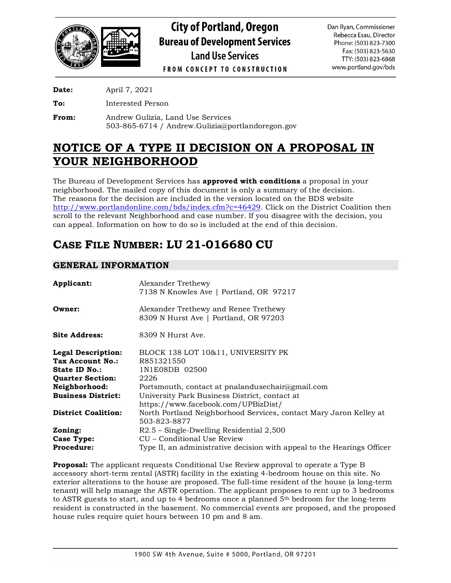

**City of Portland, Oregon Bureau of Development Services Land Use Services** 

Dan Ryan, Commissioner Rebecca Esau, Director Phone: (503) 823-7300 Fax: (503) 823-5630 TTY: (503) 823-6868 www.portland.gov/bds

**FROM CONCEPT TO CONSTRUCTION** 

**Date:** April 7, 2021

**To:** Interested Person

**From:** Andrew Gulizia, Land Use Services 503-865-6714 / Andrew.Gulizia@portlandoregon.gov

# **NOTICE OF A TYPE II DECISION ON A PROPOSAL IN YOUR NEIGHBORHOOD**

The Bureau of Development Services has **approved with conditions** a proposal in your neighborhood. The mailed copy of this document is only a summary of the decision. The reasons for the decision are included in the version located on the BDS website [http://www.portlandonline.com/bds/index.cfm?c=46429.](http://www.portlandonline.com/bds/index.cfm?c=46429) Click on the District Coalition then scroll to the relevant Neighborhood and case number. If you disagree with the decision, you can appeal. Information on how to do so is included at the end of this decision.

# **CASE FILE NUMBER: LU 21-016680 CU**

## **GENERAL INFORMATION**

| Applicant:                 | Alexander Trethewy<br>7138 N Knowles Ave   Portland, OR 97217                  |
|----------------------------|--------------------------------------------------------------------------------|
| Owner:                     | Alexander Trethewy and Renee Trethewy<br>8309 N Hurst Ave   Portland, OR 97203 |
| <b>Site Address:</b>       | 8309 N Hurst Ave.                                                              |
| <b>Legal Description:</b>  | BLOCK 138 LOT 10&11, UNIVERSITY PK                                             |
| Tax Account No.:           | R851321550                                                                     |
| State ID No.:              | 1N1E08DB 02500                                                                 |
| <b>Quarter Section:</b>    | 2226                                                                           |
| Neighborhood:              | Portsmouth, contact at pnalandusechair@gmail.com                               |
| <b>Business District:</b>  | University Park Business District, contact at                                  |
|                            | https://www.facebook.com/UPBizDist/                                            |
| <b>District Coalition:</b> | North Portland Neighborhood Services, contact Mary Jaron Kelley at             |
|                            | 503-823-8877                                                                   |
| Zoning:                    | $R2.5$ – Single-Dwelling Residential 2,500                                     |
| Case Type:                 | CU – Conditional Use Review                                                    |
| <b>Procedure:</b>          | Type II, an administrative decision with appeal to the Hearings Officer        |
|                            |                                                                                |

**Proposal:** The applicant requests Conditional Use Review approval to operate a Type B accessory short-term rental (ASTR) facility in the existing 4-bedroom house on this site. No exterior alterations to the house are proposed. The full-time resident of the house (a long-term tenant) will help manage the ASTR operation. The applicant proposes to rent up to 3 bedrooms to ASTR guests to start, and up to 4 bedrooms once a planned  $5<sup>th</sup>$  bedroom for the long-term resident is constructed in the basement. No commercial events are proposed, and the proposed house rules require quiet hours between 10 pm and 8 am.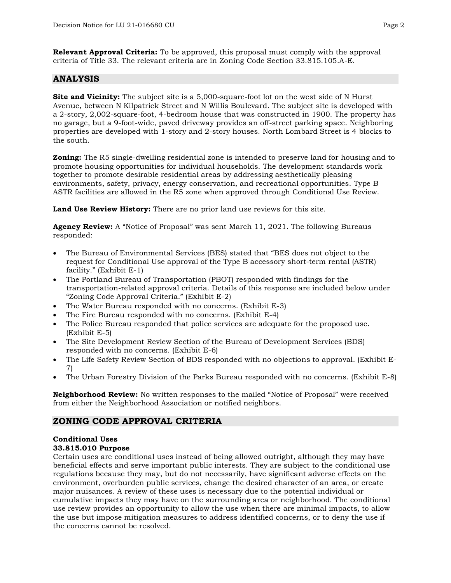**Relevant Approval Criteria:** To be approved, this proposal must comply with the approval criteria of Title 33. The relevant criteria are in Zoning Code Section 33.815.105.A-E.

## **ANALYSIS**

**Site and Vicinity:** The subject site is a 5,000-square-foot lot on the west side of N Hurst Avenue, between N Kilpatrick Street and N Willis Boulevard. The subject site is developed with a 2-story, 2,002-square-foot, 4-bedroom house that was constructed in 1900. The property has no garage, but a 9-foot-wide, paved driveway provides an off-street parking space. Neighboring properties are developed with 1-story and 2-story houses. North Lombard Street is 4 blocks to the south.

**Zoning:** The R5 single-dwelling residential zone is intended to preserve land for housing and to promote housing opportunities for individual households. The development standards work together to promote desirable residential areas by addressing aesthetically pleasing environments, safety, privacy, energy conservation, and recreational opportunities. Type B ASTR facilities are allowed in the R5 zone when approved through Conditional Use Review.

**Land Use Review History:** There are no prior land use reviews for this site.

**Agency Review:** A "Notice of Proposal" was sent March 11, 2021. The following Bureaus responded:

- The Bureau of Environmental Services (BES) stated that "BES does not object to the request for Conditional Use approval of the Type B accessory short-term rental (ASTR) facility." (Exhibit E-1)
- The Portland Bureau of Transportation (PBOT) responded with findings for the transportation-related approval criteria. Details of this response are included below under "Zoning Code Approval Criteria." (Exhibit E-2)
- The Water Bureau responded with no concerns. (Exhibit E-3)
- The Fire Bureau responded with no concerns. (Exhibit E-4)
- The Police Bureau responded that police services are adequate for the proposed use. (Exhibit E-5)
- The Site Development Review Section of the Bureau of Development Services (BDS) responded with no concerns. (Exhibit E-6)
- The Life Safety Review Section of BDS responded with no objections to approval. (Exhibit E-7)
- The Urban Forestry Division of the Parks Bureau responded with no concerns. (Exhibit E-8)

**Neighborhood Review:** No written responses to the mailed "Notice of Proposal" were received from either the Neighborhood Association or notified neighbors.

## **ZONING CODE APPROVAL CRITERIA**

## **Conditional Uses**

#### **33.815.010 Purpose**

Certain uses are conditional uses instead of being allowed outright, although they may have beneficial effects and serve important public interests. They are subject to the conditional use regulations because they may, but do not necessarily, have significant adverse effects on the environment, overburden public services, change the desired character of an area, or create major nuisances. A review of these uses is necessary due to the potential individual or cumulative impacts they may have on the surrounding area or neighborhood. The conditional use review provides an opportunity to allow the use when there are minimal impacts, to allow the use but impose mitigation measures to address identified concerns, or to deny the use if the concerns cannot be resolved.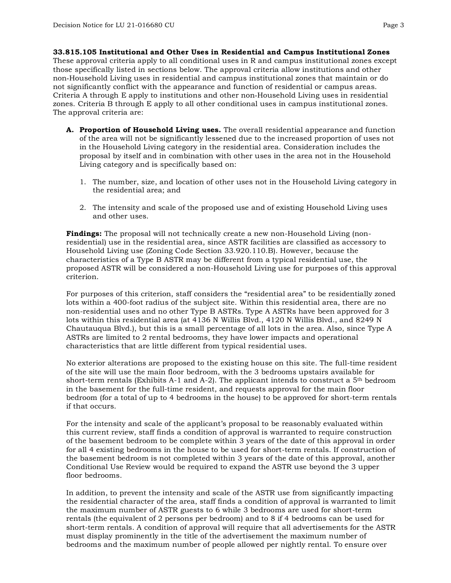**33.815.105 Institutional and Other Uses in Residential and Campus Institutional Zones** These approval criteria apply to all conditional uses in R and campus institutional zones except those specifically listed in sections below. The approval criteria allow institutions and other non‐Household Living uses in residential and campus institutional zones that maintain or do not significantly conflict with the appearance and function of residential or campus areas. Criteria A through E apply to institutions and other non‐Household Living uses in residential zones. Criteria B through E apply to all other conditional uses in campus institutional zones. The approval criteria are:

- **A. Proportion of Household Living uses.** The overall residential appearance and function of the area will not be significantly lessened due to the increased proportion of uses not in the Household Living category in the residential area. Consideration includes the proposal by itself and in combination with other uses in the area not in the Household Living category and is specifically based on:
	- 1. The number, size, and location of other uses not in the Household Living category in the residential area; and
	- 2. The intensity and scale of the proposed use and of existing Household Living uses and other uses.

**Findings:** The proposal will not technically create a new non-Household Living (nonresidential) use in the residential area, since ASTR facilities are classified as accessory to Household Living use (Zoning Code Section 33.920.110.B). However, because the characteristics of a Type B ASTR may be different from a typical residential use, the proposed ASTR will be considered a non-Household Living use for purposes of this approval criterion.

For purposes of this criterion, staff considers the "residential area" to be residentially zoned lots within a 400-foot radius of the subject site. Within this residential area, there are no non-residential uses and no other Type B ASTRs. Type A ASTRs have been approved for 3 lots within this residential area (at 4136 N Willis Blvd., 4120 N Willis Blvd., and 8249 N Chautauqua Blvd.), but this is a small percentage of all lots in the area. Also, since Type A ASTRs are limited to 2 rental bedrooms, they have lower impacts and operational characteristics that are little different from typical residential uses.

No exterior alterations are proposed to the existing house on this site. The full-time resident of the site will use the main floor bedroom, with the 3 bedrooms upstairs available for short-term rentals (Exhibits A-1 and A-2). The applicant intends to construct a  $5<sup>th</sup>$  bedroom in the basement for the full-time resident, and requests approval for the main floor bedroom (for a total of up to 4 bedrooms in the house) to be approved for short-term rentals if that occurs.

For the intensity and scale of the applicant's proposal to be reasonably evaluated within this current review, staff finds a condition of approval is warranted to require construction of the basement bedroom to be complete within 3 years of the date of this approval in order for all 4 existing bedrooms in the house to be used for short-term rentals. If construction of the basement bedroom is not completed within 3 years of the date of this approval, another Conditional Use Review would be required to expand the ASTR use beyond the 3 upper floor bedrooms.

In addition, to prevent the intensity and scale of the ASTR use from significantly impacting the residential character of the area, staff finds a condition of approval is warranted to limit the maximum number of ASTR guests to 6 while 3 bedrooms are used for short-term rentals (the equivalent of 2 persons per bedroom) and to 8 if 4 bedrooms can be used for short-term rentals. A condition of approval will require that all advertisements for the ASTR must display prominently in the title of the advertisement the maximum number of bedrooms and the maximum number of people allowed per nightly rental. To ensure over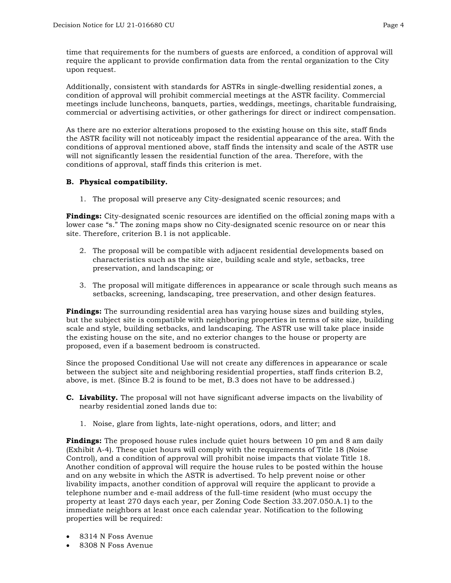time that requirements for the numbers of guests are enforced, a condition of approval will require the applicant to provide confirmation data from the rental organization to the City upon request.

Additionally, consistent with standards for ASTRs in single-dwelling residential zones, a condition of approval will prohibit commercial meetings at the ASTR facility. Commercial meetings include luncheons, banquets, parties, weddings, meetings, charitable fundraising, commercial or advertising activities, or other gatherings for direct or indirect compensation.

As there are no exterior alterations proposed to the existing house on this site, staff finds the ASTR facility will not noticeably impact the residential appearance of the area. With the conditions of approval mentioned above, staff finds the intensity and scale of the ASTR use will not significantly lessen the residential function of the area. Therefore, with the conditions of approval, staff finds this criterion is met.

#### **B. Physical compatibility.**

1. The proposal will preserve any City-designated scenic resources; and

**Findings:** City-designated scenic resources are identified on the official zoning maps with a lower case "s." The zoning maps show no City-designated scenic resource on or near this site. Therefore, criterion B.1 is not applicable.

- 2. The proposal will be compatible with adjacent residential developments based on characteristics such as the site size, building scale and style, setbacks, tree preservation, and landscaping; or
- 3. The proposal will mitigate differences in appearance or scale through such means as setbacks, screening, landscaping, tree preservation, and other design features.

**Findings:** The surrounding residential area has varying house sizes and building styles, but the subject site is compatible with neighboring properties in terms of site size, building scale and style, building setbacks, and landscaping. The ASTR use will take place inside the existing house on the site, and no exterior changes to the house or property are proposed, even if a basement bedroom is constructed.

Since the proposed Conditional Use will not create any differences in appearance or scale between the subject site and neighboring residential properties, staff finds criterion B.2, above, is met. (Since B.2 is found to be met, B.3 does not have to be addressed.)

- **C. Livability.** The proposal will not have significant adverse impacts on the livability of nearby residential zoned lands due to:
	- 1. Noise, glare from lights, late-night operations, odors, and litter; and

**Findings:** The proposed house rules include quiet hours between 10 pm and 8 am daily (Exhibit A-4). These quiet hours will comply with the requirements of Title 18 (Noise Control), and a condition of approval will prohibit noise impacts that violate Title 18. Another condition of approval will require the house rules to be posted within the house and on any website in which the ASTR is advertised. To help prevent noise or other livability impacts, another condition of approval will require the applicant to provide a telephone number and e-mail address of the full-time resident (who must occupy the property at least 270 days each year, per Zoning Code Section 33.207.050.A.1) to the immediate neighbors at least once each calendar year. Notification to the following properties will be required:

- 8314 N Foss Avenue
- 8308 N Foss Avenue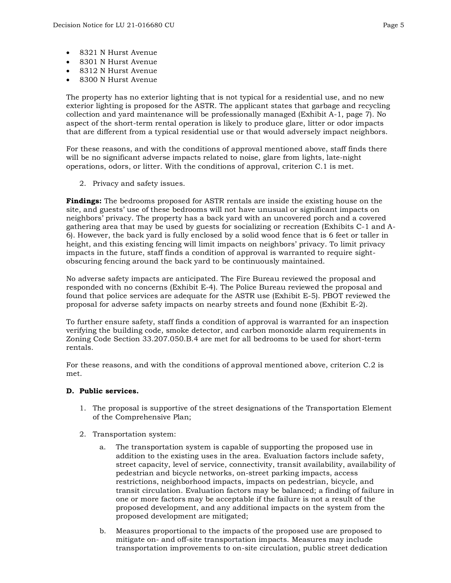- 8321 N Hurst Avenue
- 8301 N Hurst Avenue
- 8312 N Hurst Avenue
- 8300 N Hurst Avenue

The property has no exterior lighting that is not typical for a residential use, and no new exterior lighting is proposed for the ASTR. The applicant states that garbage and recycling collection and yard maintenance will be professionally managed (Exhibit A-1, page 7). No aspect of the short-term rental operation is likely to produce glare, litter or odor impacts that are different from a typical residential use or that would adversely impact neighbors.

For these reasons, and with the conditions of approval mentioned above, staff finds there will be no significant adverse impacts related to noise, glare from lights, late-night operations, odors, or litter. With the conditions of approval, criterion C.1 is met.

2. Privacy and safety issues.

**Findings:** The bedrooms proposed for ASTR rentals are inside the existing house on the site, and guests' use of these bedrooms will not have unusual or significant impacts on neighbors' privacy. The property has a back yard with an uncovered porch and a covered gathering area that may be used by guests for socializing or recreation (Exhibits C-1 and A-6). However, the back yard is fully enclosed by a solid wood fence that is 6 feet or taller in height, and this existing fencing will limit impacts on neighbors' privacy. To limit privacy impacts in the future, staff finds a condition of approval is warranted to require sightobscuring fencing around the back yard to be continuously maintained.

No adverse safety impacts are anticipated. The Fire Bureau reviewed the proposal and responded with no concerns (Exhibit E-4). The Police Bureau reviewed the proposal and found that police services are adequate for the ASTR use (Exhibit E-5). PBOT reviewed the proposal for adverse safety impacts on nearby streets and found none (Exhibit E-2).

To further ensure safety, staff finds a condition of approval is warranted for an inspection verifying the building code, smoke detector, and carbon monoxide alarm requirements in Zoning Code Section 33.207.050.B.4 are met for all bedrooms to be used for short-term rentals.

For these reasons, and with the conditions of approval mentioned above, criterion C.2 is met.

#### **D. Public services.**

- 1. The proposal is supportive of the street designations of the Transportation Element of the Comprehensive Plan;
- 2. Transportation system:
	- a. The transportation system is capable of supporting the proposed use in addition to the existing uses in the area. Evaluation factors include safety, street capacity, level of service, connectivity, transit availability, availability of pedestrian and bicycle networks, on-street parking impacts, access restrictions, neighborhood impacts, impacts on pedestrian, bicycle, and transit circulation. Evaluation factors may be balanced; a finding of failure in one or more factors may be acceptable if the failure is not a result of the proposed development, and any additional impacts on the system from the proposed development are mitigated;
	- b. Measures proportional to the impacts of the proposed use are proposed to mitigate on- and off-site transportation impacts. Measures may include transportation improvements to on-site circulation, public street dedication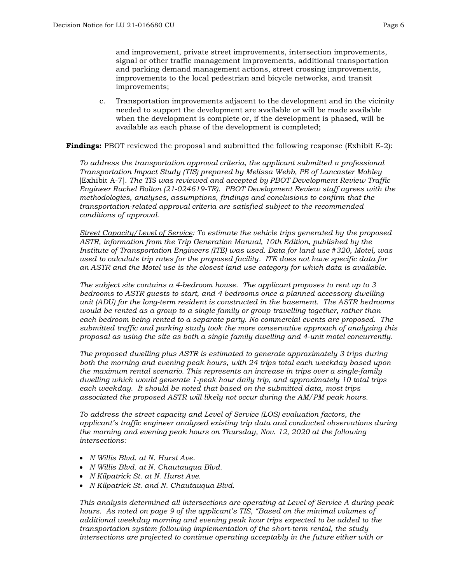and improvement, private street improvements, intersection improvements, signal or other traffic management improvements, additional transportation and parking demand management actions, street crossing improvements, improvements to the local pedestrian and bicycle networks, and transit improvements;

c. Transportation improvements adjacent to the development and in the vicinity needed to support the development are available or will be made available when the development is complete or, if the development is phased, will be available as each phase of the development is completed;

**Findings:** PBOT reviewed the proposal and submitted the following response (Exhibit E-2):

*To address the transportation approval criteria, the applicant submitted a professional Transportation Impact Study (TIS) prepared by Melissa Webb, PE of Lancaster Mobley* [Exhibit A-7]. *The TIS was reviewed and accepted by PBOT Development Review Traffic Engineer Rachel Bolton (21-024619-TR). PBOT Development Review staff agrees with the methodologies, analyses, assumptions, findings and conclusions to confirm that the transportation-related approval criteria are satisfied subject to the recommended conditions of approval.*

*Street Capacity/Level of Service: To estimate the vehicle trips generated by the proposed ASTR, information from the Trip Generation Manual, 10th Edition, published by the Institute of Transportation Engineers (ITE) was used. Data for land use #320, Motel, was used to calculate trip rates for the proposed facility. ITE does not have specific data for an ASTR and the Motel use is the closest land use category for which data is available.* 

*The subject site contains a 4-bedroom house. The applicant proposes to rent up to 3 bedrooms to ASTR guests to start, and 4 bedrooms once a planned accessory dwelling unit (ADU) for the long-term resident is constructed in the basement. The ASTR bedrooms would be rented as a group to a single family or group travelling together, rather than each bedroom being rented to a separate party. No commercial events are proposed. The submitted traffic and parking study took the more conservative approach of analyzing this proposal as using the site as both a single family dwelling and 4-unit motel concurrently.* 

*The proposed dwelling plus ASTR is estimated to generate approximately 3 trips during both the morning and evening peak hours, with 24 trips total each weekday based upon the maximum rental scenario. This represents an increase in trips over a single-family dwelling which would generate 1-peak hour daily trip, and approximately 10 total trips each weekday. It should be noted that based on the submitted data, most trips associated the proposed ASTR will likely not occur during the AM/PM peak hours.*

*To address the street capacity and Level of Service (LOS) evaluation factors, the applicant's traffic engineer analyzed existing trip data and conducted observations during the morning and evening peak hours on Thursday, Nov. 12, 2020 at the following intersections:*

- *N Willis Blvd. at N. Hurst Ave.*
- *N Willis Blvd. at N. Chautauqua Blvd.*
- *N Kilpatrick St. at N. Hurst Ave.*
- *N Kilpatrick St. and N. Chautauqua Blvd.*

*This analysis determined all intersections are operating at Level of Service A during peak hours. As noted on page 9 of the applicant's TIS, "Based on the minimal volumes of additional weekday morning and evening peak hour trips expected to be added to the transportation system following implementation of the short-term rental, the study intersections are projected to continue operating acceptably in the future either with or*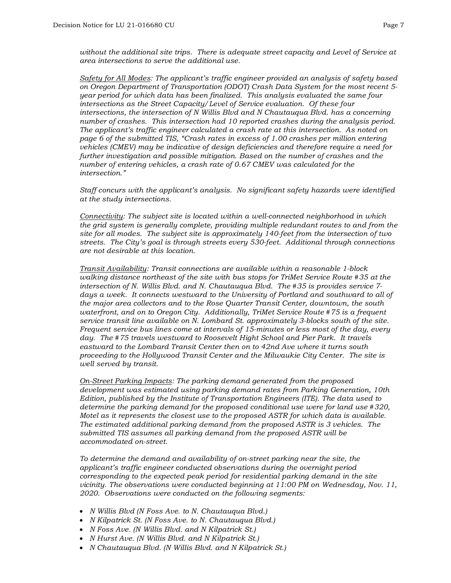*without the additional site trips. There is adequate street capacity and Level of Service at area intersections to serve the additional use.* 

*Safety for All Modes: The applicant's traffic engineer provided an analysis of safety based on Oregon Department of Transportation (ODOT) Crash Data System for the most recent 5 year period for which data has been finalized. This analysis evaluated the same four intersections as the Street Capacity/Level of Service evaluation. Of these four intersections, the intersection of N Willis Blvd and N Chautauqua Blvd. has a concerning number of crashes. This intersection had 10 reported crashes during the analysis period. The applicant's traffic engineer calculated a crash rate at this intersection. As noted on page 6 of the submitted TIS, "Crash rates in excess of 1.00 crashes per million entering vehicles (CMEV) may be indicative of design deficiencies and therefore require a need for further investigation and possible mitigation. Based on the number of crashes and the number of entering vehicles, a crash rate of 0.67 CMEV was calculated for the intersection."*

*Staff concurs with the applicant's analysis. No significant safety hazards were identified at the study intersections.* 

*Connectivity: The subject site is located within a well-connected neighborhood in which the grid system is generally complete, providing multiple redundant routes to and from the site for all modes. The subject site is approximately 140-feet from the intersection of two streets. The City's goal is through streets every 530-feet. Additional through connections are not desirable at this location.* 

*Transit Availability: Transit connections are available within a reasonable 1-block walking distance northeast of the site with bus stops for TriMet Service Route #35 at the intersection of N. Willis Blvd. and N. Chautauqua Blvd. The #35 is provides service 7 days a week. It connects westward to the University of Portland and southward to all of the major area collectors and to the Rose Quarter Transit Center, downtown, the south waterfront, and on to Oregon City. Additionally, TriMet Service Route #75 is a frequent service transit line available on N. Lombard St. approximately 3-blocks south of the site. Frequent service bus lines come at intervals of 15-minutes or less most of the day, every day. The #75 travels westward to Roosevelt Hight School and Pier Park. It travels eastward to the Lombard Transit Center then on to 42nd Ave where it turns south proceeding to the Hollywood Transit Center and the Milwaukie City Center. The site is well served by transit.* 

*On-Street Parking Impacts: The parking demand generated from the proposed development was estimated using parking demand rates from Parking Generation, 10th Edition, published by the Institute of Transportation Engineers (ITE). The data used to determine the parking demand for the proposed conditional use were for land use #320, Motel as it represents the closest use to the proposed ASTR for which data is available. The estimated additional parking demand from the proposed ASTR is 3 vehicles. The submitted TIS assumes all parking demand from the proposed ASTR will be accommodated on-street.* 

*To determine the demand and availability of on-street parking near the site, the applicant's traffic engineer conducted observations during the overnight period corresponding to the expected peak period for residential parking demand in the site vicinity. The observations were conducted beginning at 11:00 PM on Wednesday, Nov. 11, 2020. Observations were conducted on the following segments:*

- *N Willis Blvd (N Foss Ave. to N. Chautauqua Blvd.)*
- *N Kilpatrick St. (N Foss Ave. to N. Chautauqua Blvd.)*
- *N Foss Ave. (N Willis Blvd. and N Kilpatrick St.)*
- *N Hurst Ave. (N Willis Blvd. and N Kilpatrick St.)*
- *N Chautauqua Blvd. (N Willis Blvd. and N Kilpatrick St.)*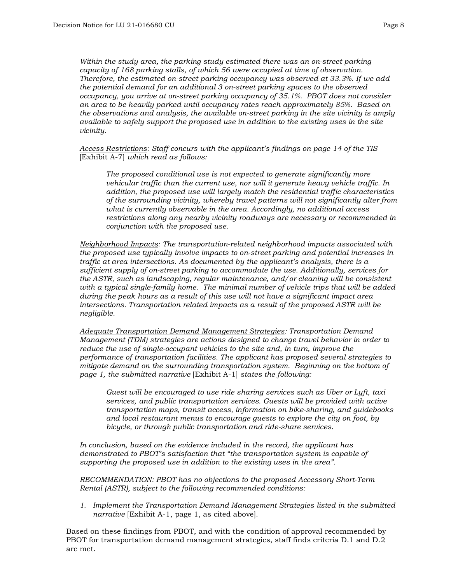*Within the study area, the parking study estimated there was an on-street parking capacity of 168 parking stalls, of which 56 were occupied at time of observation. Therefore, the estimated on-street parking occupancy was observed at 33.3%. If we add the potential demand for an additional 3 on-street parking spaces to the observed occupancy, you arrive at on-street parking occupancy of 35.1%. PBOT does not consider an area to be heavily parked until occupancy rates reach approximately 85%. Based on the observations and analysis, the available on-street parking in the site vicinity is amply available to safely support the proposed use in addition to the existing uses in the site vicinity.* 

*Access Restrictions: Staff concurs with the applicant's findings on page 14 of the TIS* [Exhibit A-7] *which read as follows:*

*The proposed conditional use is not expected to generate significantly more vehicular traffic than the current use, nor will it generate heavy vehicle traffic. In addition, the proposed use will largely match the residential traffic characteristics of the surrounding vicinity, whereby travel patterns will not significantly alter from what is currently observable in the area. Accordingly, no additional access restrictions along any nearby vicinity roadways are necessary or recommended in conjunction with the proposed use.*

*Neighborhood Impacts: The transportation-related neighborhood impacts associated with the proposed use typically involve impacts to on-street parking and potential increases in traffic at area intersections. As documented by the applicant's analysis, there is a sufficient supply of on-street parking to accommodate the use. Additionally, services for the ASTR, such as landscaping, regular maintenance, and/or cleaning will be consistent with a typical single-family home. The minimal number of vehicle trips that will be added during the peak hours as a result of this use will not have a significant impact area intersections. Transportation related impacts as a result of the proposed ASTR will be negligible.* 

*Adequate Transportation Demand Management Strategies: Transportation Demand Management (TDM) strategies are actions designed to change travel behavior in order to reduce the use of single-occupant vehicles to the site and, in turn, improve the performance of transportation facilities. The applicant has proposed several strategies to mitigate demand on the surrounding transportation system. Beginning on the bottom of page 1, the submitted narrative* [Exhibit A-1] *states the following:*

*Guest will be encouraged to use ride sharing services such as Uber or Lyft, taxi services, and public transportation services. Guests will be provided with active transportation maps, transit access, information on bike-sharing, and guidebooks and local restaurant menus to encourage guests to explore the city on foot, by bicycle, or through public transportation and ride-share services.*

*In conclusion, based on the evidence included in the record, the applicant has demonstrated to PBOT's satisfaction that "the transportation system is capable of supporting the proposed use in addition to the existing uses in the area".* 

*RECOMMENDATION: PBOT has no objections to the proposed Accessory Short-Term Rental (ASTR), subject to the following recommended conditions:*

*1. Implement the Transportation Demand Management Strategies listed in the submitted narrative* [Exhibit A-1, page 1, as cited above].

Based on these findings from PBOT, and with the condition of approval recommended by PBOT for transportation demand management strategies, staff finds criteria D.1 and D.2 are met.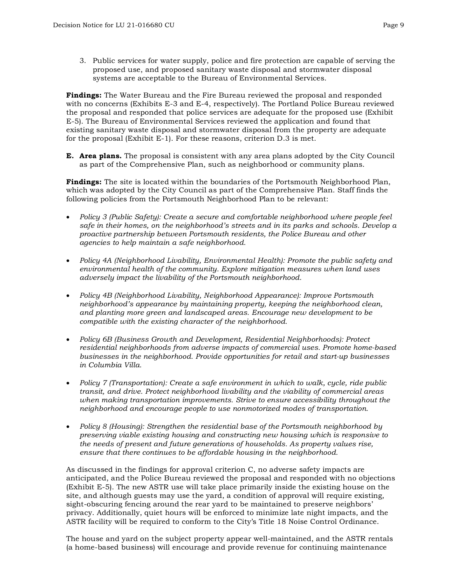3. Public services for water supply, police and fire protection are capable of serving the proposed use, and proposed sanitary waste disposal and stormwater disposal systems are acceptable to the Bureau of Environmental Services.

**Findings:** The Water Bureau and the Fire Bureau reviewed the proposal and responded with no concerns (Exhibits E-3 and E-4, respectively). The Portland Police Bureau reviewed the proposal and responded that police services are adequate for the proposed use (Exhibit E-5). The Bureau of Environmental Services reviewed the application and found that existing sanitary waste disposal and stormwater disposal from the property are adequate for the proposal (Exhibit E-1). For these reasons, criterion D.3 is met.

**E. Area plans.** The proposal is consistent with any area plans adopted by the City Council as part of the Comprehensive Plan, such as neighborhood or community plans.

**Findings:** The site is located within the boundaries of the Portsmouth Neighborhood Plan, which was adopted by the City Council as part of the Comprehensive Plan. Staff finds the following policies from the Portsmouth Neighborhood Plan to be relevant:

- *Policy 3 (Public Safety): Create a secure and comfortable neighborhood where people feel safe in their homes, on the neighborhood's streets and in its parks and schools. Develop a proactive partnership between Portsmouth residents, the Police Bureau and other agencies to help maintain a safe neighborhood.*
- *Policy 4A (Neighborhood Livability, Environmental Health): Promote the public safety and environmental health of the community. Explore mitigation measures when land uses adversely impact the livability of the Portsmouth neighborhood.*
- *Policy 4B (Neighborhood Livability, Neighborhood Appearance): Improve Portsmouth neighborhood's appearance by maintaining property, keeping the neighborhood clean, and planting more green and landscaped areas. Encourage new development to be compatible with the existing character of the neighborhood.*
- *Policy 6B (Business Growth and Development, Residential Neighborhoods): Protect residential neighborhoods from adverse impacts of commercial uses. Promote home-based businesses in the neighborhood. Provide opportunities for retail and start-up businesses in Columbia Villa.*
- *Policy 7 (Transportation): Create a safe environment in which to walk, cycle, ride public transit, and drive. Protect neighborhood livability and the viability of commercial areas when making transportation improvements. Strive to ensure accessibility throughout the neighborhood and encourage people to use nonmotorized modes of transportation.*
- *Policy 8 (Housing): Strengthen the residential base of the Portsmouth neighborhood by preserving viable existing housing and constructing new housing which is responsive to the needs of present and future generations of households. As property values rise, ensure that there continues to be affordable housing in the neighborhood.*

As discussed in the findings for approval criterion C, no adverse safety impacts are anticipated, and the Police Bureau reviewed the proposal and responded with no objections (Exhibit E-5). The new ASTR use will take place primarily inside the existing house on the site, and although guests may use the yard, a condition of approval will require existing, sight-obscuring fencing around the rear yard to be maintained to preserve neighbors' privacy. Additionally, quiet hours will be enforced to minimize late night impacts, and the ASTR facility will be required to conform to the City's Title 18 Noise Control Ordinance.

The house and yard on the subject property appear well-maintained, and the ASTR rentals (a home-based business) will encourage and provide revenue for continuing maintenance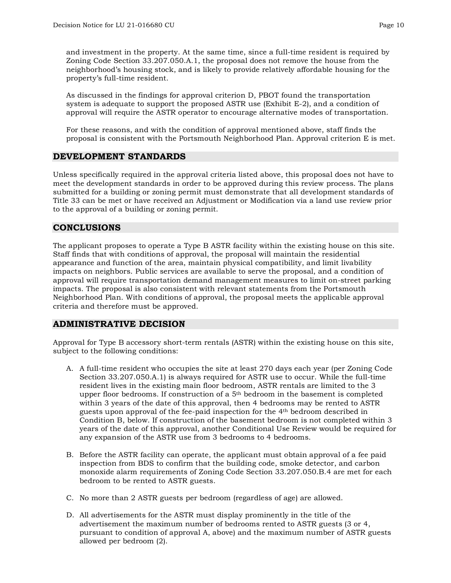and investment in the property. At the same time, since a full-time resident is required by Zoning Code Section 33.207.050.A.1, the proposal does not remove the house from the neighborhood's housing stock, and is likely to provide relatively affordable housing for the property's full-time resident.

As discussed in the findings for approval criterion D, PBOT found the transportation system is adequate to support the proposed ASTR use (Exhibit E-2), and a condition of approval will require the ASTR operator to encourage alternative modes of transportation.

For these reasons, and with the condition of approval mentioned above, staff finds the proposal is consistent with the Portsmouth Neighborhood Plan. Approval criterion E is met.

#### **DEVELOPMENT STANDARDS**

Unless specifically required in the approval criteria listed above, this proposal does not have to meet the development standards in order to be approved during this review process. The plans submitted for a building or zoning permit must demonstrate that all development standards of Title 33 can be met or have received an Adjustment or Modification via a land use review prior to the approval of a building or zoning permit.

## **CONCLUSIONS**

The applicant proposes to operate a Type B ASTR facility within the existing house on this site. Staff finds that with conditions of approval, the proposal will maintain the residential appearance and function of the area, maintain physical compatibility, and limit livability impacts on neighbors. Public services are available to serve the proposal, and a condition of approval will require transportation demand management measures to limit on-street parking impacts. The proposal is also consistent with relevant statements from the Portsmouth Neighborhood Plan. With conditions of approval, the proposal meets the applicable approval criteria and therefore must be approved.

## **ADMINISTRATIVE DECISION**

Approval for Type B accessory short-term rentals (ASTR) within the existing house on this site, subject to the following conditions:

- A. A full-time resident who occupies the site at least 270 days each year (per Zoning Code Section 33.207.050.A.1) is always required for ASTR use to occur. While the full-time resident lives in the existing main floor bedroom, ASTR rentals are limited to the 3 upper floor bedrooms. If construction of a 5th bedroom in the basement is completed within 3 years of the date of this approval, then 4 bedrooms may be rented to ASTR guests upon approval of the fee-paid inspection for the 4th bedroom described in Condition B, below. If construction of the basement bedroom is not completed within 3 years of the date of this approval, another Conditional Use Review would be required for any expansion of the ASTR use from 3 bedrooms to 4 bedrooms.
- B. Before the ASTR facility can operate, the applicant must obtain approval of a fee paid inspection from BDS to confirm that the building code, smoke detector, and carbon monoxide alarm requirements of Zoning Code Section 33.207.050.B.4 are met for each bedroom to be rented to ASTR guests.
- C. No more than 2 ASTR guests per bedroom (regardless of age) are allowed.
- D. All advertisements for the ASTR must display prominently in the title of the advertisement the maximum number of bedrooms rented to ASTR guests (3 or 4, pursuant to condition of approval A, above) and the maximum number of ASTR guests allowed per bedroom (2).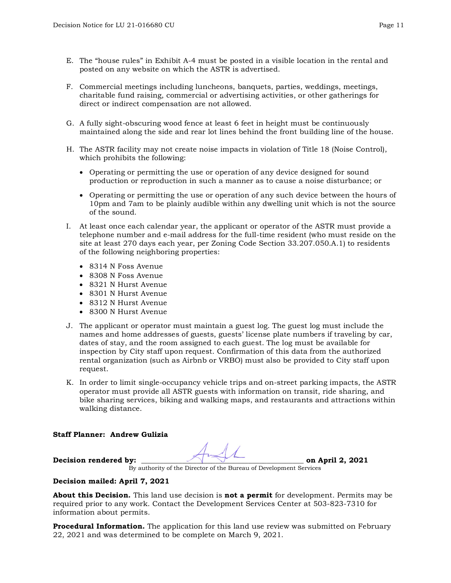- E. The "house rules" in Exhibit A-4 must be posted in a visible location in the rental and posted on any website on which the ASTR is advertised.
- F. Commercial meetings including luncheons, banquets, parties, weddings, meetings, charitable fund raising, commercial or advertising activities, or other gatherings for direct or indirect compensation are not allowed.
- G. A fully sight-obscuring wood fence at least 6 feet in height must be continuously maintained along the side and rear lot lines behind the front building line of the house.
- H. The ASTR facility may not create noise impacts in violation of Title 18 (Noise Control), which prohibits the following:
	- Operating or permitting the use or operation of any device designed for sound production or reproduction in such a manner as to cause a noise disturbance; or
	- Operating or permitting the use or operation of any such device between the hours of 10pm and 7am to be plainly audible within any dwelling unit which is not the source of the sound.
- I. At least once each calendar year, the applicant or operator of the ASTR must provide a telephone number and e-mail address for the full-time resident (who must reside on the site at least 270 days each year, per Zoning Code Section 33.207.050.A.1) to residents of the following neighboring properties:
	- 8314 N Foss Avenue
	- 8308 N Foss Avenue
	- 8321 N Hurst Avenue
	- 8301 N Hurst Avenue
	- 8312 N Hurst Avenue
	- 8300 N Hurst Avenue
- J. The applicant or operator must maintain a guest log. The guest log must include the names and home addresses of guests, guests' license plate numbers if traveling by car, dates of stay, and the room assigned to each guest. The log must be available for inspection by City staff upon request. Confirmation of this data from the authorized rental organization (such as Airbnb or VRBO) must also be provided to City staff upon request.
- K. In order to limit single-occupancy vehicle trips and on-street parking impacts, the ASTR operator must provide all ASTR guests with information on transit, ride sharing, and bike sharing services, biking and walking maps, and restaurants and attractions within walking distance.

#### **Staff Planner: Andrew Gulizia**

**Decision rendered by: Decision rendered by: on April 2, 2021** 

By authority of the Director of the Bureau of Development Services

#### **Decision mailed: April 7, 2021**

**About this Decision.** This land use decision is **not a permit** for development. Permits may be required prior to any work. Contact the Development Services Center at 503-823-7310 for information about permits.

**Procedural Information.** The application for this land use review was submitted on February 22, 2021 and was determined to be complete on March 9, 2021.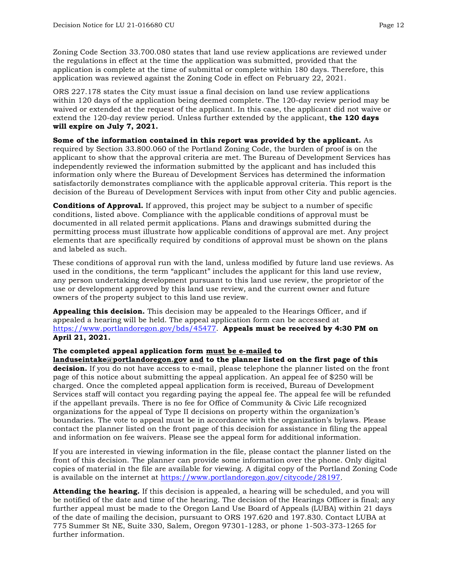Zoning Code Section 33.700.080 states that land use review applications are reviewed under the regulations in effect at the time the application was submitted, provided that the application is complete at the time of submittal or complete within 180 days. Therefore, this application was reviewed against the Zoning Code in effect on February 22, 2021.

ORS 227.178 states the City must issue a final decision on land use review applications within 120 days of the application being deemed complete. The 120-day review period may be waived or extended at the request of the applicant. In this case, the applicant did not waive or extend the 120-day review period. Unless further extended by the applicant, **the 120 days will expire on July 7, 2021.**

**Some of the information contained in this report was provided by the applicant.** As required by Section 33.800.060 of the Portland Zoning Code, the burden of proof is on the applicant to show that the approval criteria are met. The Bureau of Development Services has independently reviewed the information submitted by the applicant and has included this information only where the Bureau of Development Services has determined the information satisfactorily demonstrates compliance with the applicable approval criteria. This report is the decision of the Bureau of Development Services with input from other City and public agencies.

**Conditions of Approval.** If approved, this project may be subject to a number of specific conditions, listed above. Compliance with the applicable conditions of approval must be documented in all related permit applications. Plans and drawings submitted during the permitting process must illustrate how applicable conditions of approval are met. Any project elements that are specifically required by conditions of approval must be shown on the plans and labeled as such.

These conditions of approval run with the land, unless modified by future land use reviews. As used in the conditions, the term "applicant" includes the applicant for this land use review, any person undertaking development pursuant to this land use review, the proprietor of the use or development approved by this land use review, and the current owner and future owners of the property subject to this land use review.

**Appealing this decision.** This decision may be appealed to the Hearings Officer, and if appealed a hearing will be held. The appeal application form can be accessed at [https://www.portlandoregon.gov/bds/45477.](https://www.portlandoregon.gov/bds/45477) **Appeals must be received by 4:30 PM on April 21, 2021.**

#### **The completed appeal application form must be e-mailed to**

**[landuseintake@portlandoregon.gov](mailto:landuseintake@portlandoregon.gov) and to the planner listed on the first page of this decision.** If you do not have access to e-mail, please telephone the planner listed on the front page of this notice about submitting the appeal application. An appeal fee of \$250 will be charged. Once the completed appeal application form is received, Bureau of Development Services staff will contact you regarding paying the appeal fee. The appeal fee will be refunded if the appellant prevails. There is no fee for Office of Community & Civic Life recognized organizations for the appeal of Type II decisions on property within the organization's boundaries. The vote to appeal must be in accordance with the organization's bylaws. Please contact the planner listed on the front page of this decision for assistance in filing the appeal and information on fee waivers. Please see the appeal form for additional information.

If you are interested in viewing information in the file, please contact the planner listed on the front of this decision. The planner can provide some information over the phone. Only digital copies of material in the file are available for viewing. A digital copy of the Portland Zoning Code is available on the internet at [https://www.portlandoregon.gov/citycode/28197.](https://www.portlandoregon.gov/citycode/28197)

**Attending the hearing.** If this decision is appealed, a hearing will be scheduled, and you will be notified of the date and time of the hearing. The decision of the Hearings Officer is final; any further appeal must be made to the Oregon Land Use Board of Appeals (LUBA) within 21 days of the date of mailing the decision, pursuant to ORS 197.620 and 197.830. Contact LUBA at 775 Summer St NE, Suite 330, Salem, Oregon 97301-1283, or phone 1-503-373-1265 for further information.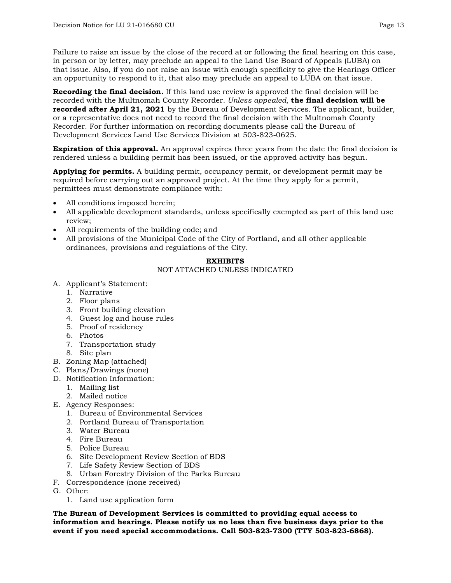Failure to raise an issue by the close of the record at or following the final hearing on this case, in person or by letter, may preclude an appeal to the Land Use Board of Appeals (LUBA) on that issue. Also, if you do not raise an issue with enough specificity to give the Hearings Officer an opportunity to respond to it, that also may preclude an appeal to LUBA on that issue.

**Recording the final decision.** If this land use review is approved the final decision will be recorded with the Multnomah County Recorder. *Unless appealed,* **the final decision will be recorded after April 21, 2021** by the Bureau of Development Services. The applicant, builder, or a representative does not need to record the final decision with the Multnomah County Recorder. For further information on recording documents please call the Bureau of Development Services Land Use Services Division at 503-823-0625.

**Expiration of this approval.** An approval expires three years from the date the final decision is rendered unless a building permit has been issued, or the approved activity has begun.

**Applying for permits.** A building permit, occupancy permit, or development permit may be required before carrying out an approved project. At the time they apply for a permit, permittees must demonstrate compliance with:

- All conditions imposed herein;
- All applicable development standards, unless specifically exempted as part of this land use review;
- All requirements of the building code; and
- All provisions of the Municipal Code of the City of Portland, and all other applicable ordinances, provisions and regulations of the City.

#### **EXHIBITS**

#### NOT ATTACHED UNLESS INDICATED

- A. Applicant's Statement:
	- 1. Narrative
	- 2. Floor plans
	- 3. Front building elevation
	- 4. Guest log and house rules
	- 5. Proof of residency
	- 6. Photos
	- 7. Transportation study
	- 8. Site plan
- B. Zoning Map (attached)
- C. Plans/Drawings (none)
- D. Notification Information:
	- 1. Mailing list
	- 2. Mailed notice
- E. Agency Responses:
	- 1. Bureau of Environmental Services
	- 2. Portland Bureau of Transportation
	- 3. Water Bureau
	- 4. Fire Bureau
	- 5. Police Bureau
	- 6. Site Development Review Section of BDS
	- 7. Life Safety Review Section of BDS
	- 8. Urban Forestry Division of the Parks Bureau
- F. Correspondence (none received)
- G. Other:
	- 1. Land use application form

**The Bureau of Development Services is committed to providing equal access to information and hearings. Please notify us no less than five business days prior to the event if you need special accommodations. Call 503-823-7300 (TTY 503-823-6868).**